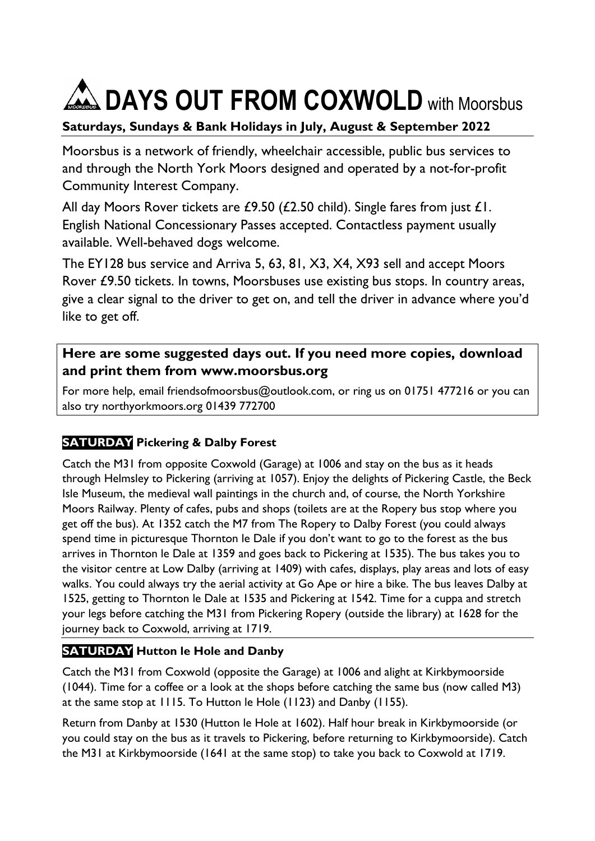# **AN DAYS OUT FROM COXWOLD** with Moorsbus

# **Saturdays, Sundays & Bank Holidays in July, August & September 2022**

Moorsbus is a network of friendly, wheelchair accessible, public bus services to and through the North York Moors designed and operated by a not-for-profit Community Interest Company.

All day Moors Rover tickets are £9.50 (£2.50 child). Single fares from just £1. English National Concessionary Passes accepted. Contactless payment usually available. Well-behaved dogs welcome.

The EY128 bus service and Arriva 5, 63, 81, X3, X4, X93 sell and accept Moors Rover £9.50 tickets. In towns, Moorsbuses use existing bus stops. In country areas, give a clear signal to the driver to get on, and tell the driver in advance where you'd like to get off.

### **Here are some suggested days out. If you need more copies, download and print them from [www.moorsbus.org](http://www.moorsbus.org/)**

For more help, email [friendsofmoorsbus@outlook.com,](mailto:FriendsofMoorsbus@outlook.com) or ring us on 01751 477216 or you can also try northyorkmoors.org 01439 772700

# **SATURDAY Pickering & Dalby Forest**

Catch the M31 from opposite Coxwold (Garage) at 1006 and stay on the bus as it heads through Helmsley to Pickering (arriving at 1057). Enjoy the delights of Pickering Castle, the Beck Isle Museum, the medieval wall paintings in the church and, of course, the North Yorkshire Moors Railway. Plenty of cafes, pubs and shops (toilets are at the Ropery bus stop where you get off the bus). At 1352 catch the M7 from The Ropery to Dalby Forest (you could always spend time in picturesque Thornton le Dale if you don't want to go to the forest as the bus arrives in Thornton le Dale at 1359 and goes back to Pickering at 1535). The bus takes you to the visitor centre at Low Dalby (arriving at 1409) with cafes, displays, play areas and lots of easy walks. You could always try the aerial activity at Go Ape or hire a bike. The bus leaves Dalby at 1525, getting to Thornton le Dale at 1535 and Pickering at 1542. Time for a cuppa and stretch your legs before catching the M31 from Pickering Ropery (outside the library) at 1628 for the journey back to Coxwold, arriving at 1719.

## **SATURDAY Hutton le Hole and Danby**

Catch the M31 from Coxwold (opposite the Garage) at 1006 and alight at Kirkbymoorside (1044). Time for a coffee or a look at the shops before catching the same bus (now called M3) at the same stop at 1115. To Hutton le Hole (1123) and Danby (1155).

Return from Danby at 1530 (Hutton le Hole at 1602). Half hour break in Kirkbymoorside (or you could stay on the bus as it travels to Pickering, before returning to Kirkbymoorside). Catch the M31 at Kirkbymoorside (1641 at the same stop) to take you back to Coxwold at 1719.